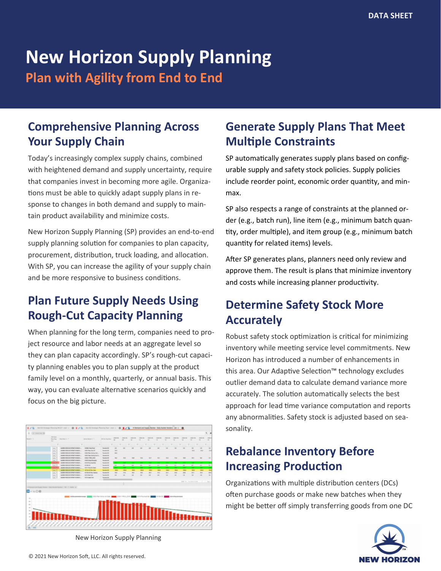# **New Horizon Supply Planning**

**Plan with Agility from End to End**

## **Comprehensive Planning Across Your Supply Chain**

Today's increasingly complex supply chains, combined with heightened demand and supply uncertainty, require that companies invest in becoming more agile. Organizations must be able to quickly adapt supply plans in response to changes in both demand and supply to maintain product availability and minimize costs.

New Horizon Supply Planning (SP) provides an end-to-end supply planning solution for companies to plan capacity, procurement, distribution, truck loading, and allocation. With SP, you can increase the agility of your supply chain and be more responsive to business conditions.

# **Plan Future Supply Needs Using Rough-Cut Capacity Planning**

When planning for the long term, companies need to project resource and labor needs at an aggregate level so they can plan capacity accordingly. SP's rough-cut capacity planning enables you to plan supply at the product family level on a monthly, quarterly, or annual basis. This way, you can evaluate alternative scenarios quickly and focus on the big picture.



New Horizon Supply Planning

# **Generate Supply Plans That Meet Multiple Constraints**

SP automatically generates supply plans based on configurable supply and safety stock policies. Supply policies include reorder point, economic order quantity, and minmax.

SP also respects a range of constraints at the planned order (e.g., batch run), line item (e.g., minimum batch quantity, order multiple), and item group (e.g., minimum batch quantity for related items) levels.

After SP generates plans, planners need only review and approve them. The result is plans that minimize inventory and costs while increasing planner productivity.

# **Determine Safety Stock More Accurately**

Robust safety stock optimization is critical for minimizing inventory while meeting service level commitments. New Horizon has introduced a number of enhancements in this area. Our Adaptive Selection™ technology excludes outlier demand data to calculate demand variance more accurately. The solution automatically selects the best approach for lead time variance computation and reports any abnormalities. Safety stock is adjusted based on seasonality.

# **Rebalance Inventory Before Increasing Production**

Organizations with multiple distribution centers (DCs) often purchase goods or make new batches when they might be better off simply transferring goods from one DC